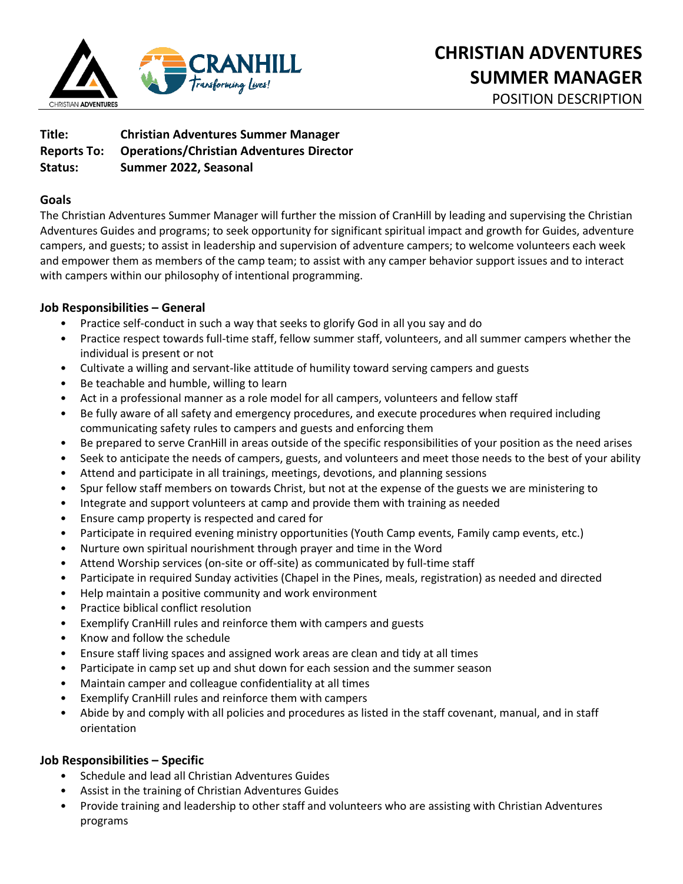

**Title: Christian Adventures Summer Manager Reports To: Operations/Christian Adventures Director Status: Summer 2022, Seasonal** 

## **Goals**

The Christian Adventures Summer Manager will further the mission of CranHill by leading and supervising the Christian Adventures Guides and programs; to seek opportunity for significant spiritual impact and growth for Guides, adventure campers, and guests; to assist in leadership and supervision of adventure campers; to welcome volunteers each week and empower them as members of the camp team; to assist with any camper behavior support issues and to interact with campers within our philosophy of intentional programming.

# **Job Responsibilities – General**

- Practice self-conduct in such a way that seeks to glorify God in all you say and do
- Practice respect towards full-time staff, fellow summer staff, volunteers, and all summer campers whether the individual is present or not
- Cultivate a willing and servant-like attitude of humility toward serving campers and guests
- Be teachable and humble, willing to learn
- Act in a professional manner as a role model for all campers, volunteers and fellow staff
- Be fully aware of all safety and emergency procedures, and execute procedures when required including communicating safety rules to campers and guests and enforcing them
- Be prepared to serve CranHill in areas outside of the specific responsibilities of your position as the need arises
- Seek to anticipate the needs of campers, guests, and volunteers and meet those needs to the best of your ability
- Attend and participate in all trainings, meetings, devotions, and planning sessions
- Spur fellow staff members on towards Christ, but not at the expense of the guests we are ministering to
- Integrate and support volunteers at camp and provide them with training as needed
- Ensure camp property is respected and cared for
- Participate in required evening ministry opportunities (Youth Camp events, Family camp events, etc.)
- Nurture own spiritual nourishment through prayer and time in the Word
- Attend Worship services (on-site or off-site) as communicated by full-time staff
- Participate in required Sunday activities (Chapel in the Pines, meals, registration) as needed and directed
- Help maintain a positive community and work environment
- Practice biblical conflict resolution
- Exemplify CranHill rules and reinforce them with campers and guests
- Know and follow the schedule
- Ensure staff living spaces and assigned work areas are clean and tidy at all times
- Participate in camp set up and shut down for each session and the summer season
- Maintain camper and colleague confidentiality at all times
- Exemplify CranHill rules and reinforce them with campers
- Abide by and comply with all policies and procedures as listed in the staff covenant, manual, and in staff orientation

# **Job Responsibilities – Specific**

- Schedule and lead all Christian Adventures Guides
- Assist in the training of Christian Adventures Guides
- Provide training and leadership to other staff and volunteers who are assisting with Christian Adventures programs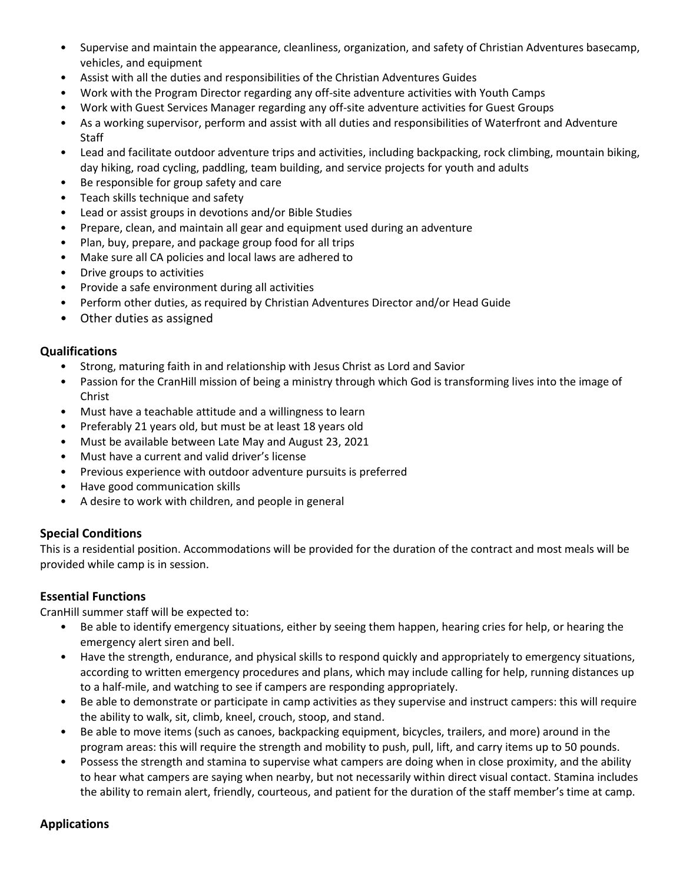- Supervise and maintain the appearance, cleanliness, organization, and safety of Christian Adventures basecamp, vehicles, and equipment
- Assist with all the duties and responsibilities of the Christian Adventures Guides
- Work with the Program Director regarding any off-site adventure activities with Youth Camps
- Work with Guest Services Manager regarding any off-site adventure activities for Guest Groups
- As a working supervisor, perform and assist with all duties and responsibilities of Waterfront and Adventure Staff
- Lead and facilitate outdoor adventure trips and activities, including backpacking, rock climbing, mountain biking, day hiking, road cycling, paddling, team building, and service projects for youth and adults
- Be responsible for group safety and care
- Teach skills technique and safety
- Lead or assist groups in devotions and/or Bible Studies
- Prepare, clean, and maintain all gear and equipment used during an adventure
- Plan, buy, prepare, and package group food for all trips
- Make sure all CA policies and local laws are adhered to
- Drive groups to activities
- Provide a safe environment during all activities
- Perform other duties, as required by Christian Adventures Director and/or Head Guide
- Other duties as assigned

### **Qualifications**

- Strong, maturing faith in and relationship with Jesus Christ as Lord and Savior
- Passion for the CranHill mission of being a ministry through which God is transforming lives into the image of Christ
- Must have a teachable attitude and a willingness to learn
- Preferably 21 years old, but must be at least 18 years old
- Must be available between Late May and August 23, 2021
- Must have a current and valid driver's license
- Previous experience with outdoor adventure pursuits is preferred
- Have good communication skills
- A desire to work with children, and people in general

### **Special Conditions**

This is a residential position. Accommodations will be provided for the duration of the contract and most meals will be provided while camp is in session.

# **Essential Functions**

CranHill summer staff will be expected to:

- Be able to identify emergency situations, either by seeing them happen, hearing cries for help, or hearing the emergency alert siren and bell.
- Have the strength, endurance, and physical skills to respond quickly and appropriately to emergency situations, according to written emergency procedures and plans, which may include calling for help, running distances up to a half-mile, and watching to see if campers are responding appropriately.
- Be able to demonstrate or participate in camp activities as they supervise and instruct campers: this will require the ability to walk, sit, climb, kneel, crouch, stoop, and stand.
- Be able to move items (such as canoes, backpacking equipment, bicycles, trailers, and more) around in the program areas: this will require the strength and mobility to push, pull, lift, and carry items up to 50 pounds.
- Possess the strength and stamina to supervise what campers are doing when in close proximity, and the ability to hear what campers are saying when nearby, but not necessarily within direct visual contact. Stamina includes the ability to remain alert, friendly, courteous, and patient for the duration of the staff member's time at camp.

### **Applications**